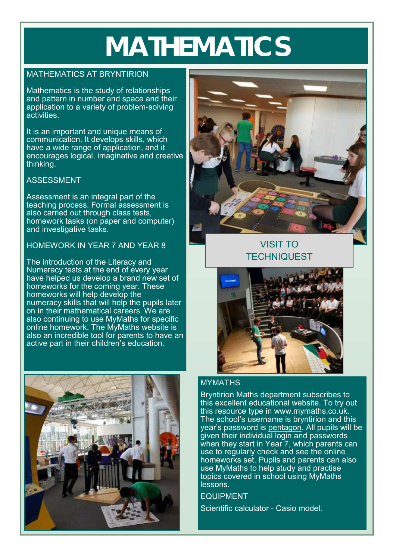# **MATHEMATICS**

#### MATHEMATICS AT BRYNTIRION

Mathematics is the study of relationships and pattern in number and space and their application to a variety of problem-solving activities.

It is an important and unique means of communication. It develops skills, which have a wide range of application, and it encourages logical, imaginative and creative thinking.

## ASSESSMENT

Assessment is an integral part of the teaching process. Formal assessment is also carried out through class tests, homework tasks (on paper and computer) and investigative tasks.

## HOMEWORK IN YEAR 7 AND YEAR 8

The introduction of the Literacy and Numeracy tests at the end of every year have helped us develop a brand new set of homeworks for the coming year. These homeworks will help develop the numeracy skills that will help the pupils later on in their mathematical careers. We are also continuing to use MyMaths for specific online homework. The MyMaths website is also an incredible tool for parents to have an active part in their children's education.





## VISIT TO **TECHNIQUEST**



## MYMATHS

Bryntirion Maths department subscribes to this excellent educational website. To try out this resource type in www.mymaths.co.uk. The school's username is bryntirion and this year's password is pentagon. All pupils will be given their individual login and passwords when they start in Year 7, which parents can use to regularly check and see the online homeworks set. Pupils and parents can also use MyMaths to help study and practise topics covered in school using MyMaths lessons.

EQUIPMENT

Scientific calculator - Casio model.